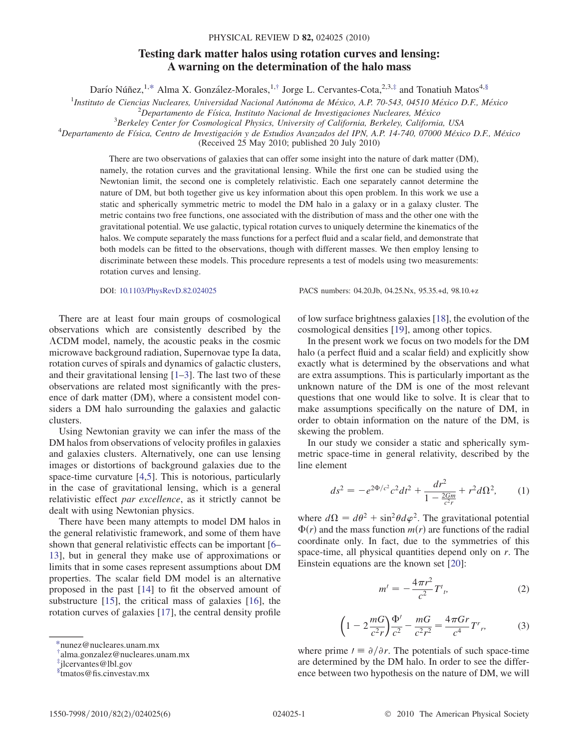## Testing dark matter halos using rotation curves and lensing: A warning on the determination of the halo mass

Darío Núñez,<sup>1,[\\*](#page-0-0)</sup> Alma X. González-Morales,<sup>1,[†](#page-0-1)</sup> Jorge L. Cervantes-Cota,<sup>2,3,[‡](#page-0-2)</sup> and Tonatiuh Matos<sup>4,§</sup>

<span id="page-0-3"></span><sup>1</sup>Instituto de Ciencias Nucleares, Universidad Nacional Autónoma de México, A.P. 70-543, 04510 México D.F., México<br><sup>2</sup>Departemento de Física, Instituto Nacional de Investigaciones Nucleares, México

 $^{2}$ Departamento de Física, Instituto Nacional de Investigaciones Nucleares, México

<sup>3</sup>Berkeley Center for Cosmological Physics, University of California, Berkeley, California, USA

 $^4$ Departamento de Física, Centro de Investigación y de Estudios Avanzados del IPN, A.P. 14-740, 07000 México D.F., México

(Received 25 May 2010; published 20 July 2010)

There are two observations of galaxies that can offer some insight into the nature of dark matter (DM), namely, the rotation curves and the gravitational lensing. While the first one can be studied using the Newtonian limit, the second one is completely relativistic. Each one separately cannot determine the nature of DM, but both together give us key information about this open problem. In this work we use a static and spherically symmetric metric to model the DM halo in a galaxy or in a galaxy cluster. The metric contains two free functions, one associated with the distribution of mass and the other one with the gravitational potential. We use galactic, typical rotation curves to uniquely determine the kinematics of the halos. We compute separately the mass functions for a perfect fluid and a scalar field, and demonstrate that both models can be fitted to the observations, though with different masses. We then employ lensing to discriminate between these models. This procedure represents a test of models using two measurements: rotation curves and lensing.

There are at least four main groups of cosmological observations which are consistently described by the CDM model, namely, the acoustic peaks in the cosmic microwave background radiation, Supernovae type Ia data, rotation curves of spirals and dynamics of galactic clusters, and their gravitational lensing [\[1–](#page-5-0)[3\]](#page-5-1). The last two of these observations are related most significantly with the presence of dark matter (DM), where a consistent model considers a DM halo surrounding the galaxies and galactic clusters.

Using Newtonian gravity we can infer the mass of the DM halos from observations of velocity profiles in galaxies and galaxies clusters. Alternatively, one can use lensing images or distortions of background galaxies due to the space-time curvature [\[4,](#page-5-2)[5\]](#page-5-3). This is notorious, particularly in the case of gravitational lensing, which is a general relativistic effect par excellence, as it strictly cannot be dealt with using Newtonian physics.

There have been many attempts to model DM halos in the general relativistic framework, and some of them have shown that general relativistic effects can be important [[6–](#page-5-4) [13](#page-5-5)], but in general they make use of approximations or limits that in some cases represent assumptions about DM properties. The scalar field DM model is an alternative proposed in the past [\[14\]](#page-5-6) to fit the observed amount of substructure [[15](#page-5-7)], the critical mass of galaxies [\[16\]](#page-5-8), the rotation curves of galaxies [[17](#page-5-9)], the central density profile

DOI: [10.1103/PhysRevD.82.024025](http://dx.doi.org/10.1103/PhysRevD.82.024025) PACS numbers: 04.20.Jb, 04.25.Nx, 95.35.+d, 98.10.+z

of low surface brightness galaxies [\[18\]](#page-5-10), the evolution of the cosmological densities [\[19\]](#page-5-11), among other topics.

In the present work we focus on two models for the DM halo (a perfect fluid and a scalar field) and explicitly show exactly what is determined by the observations and what are extra assumptions. This is particularly important as the unknown nature of the DM is one of the most relevant questions that one would like to solve. It is clear that to make assumptions specifically on the nature of DM, in order to obtain information on the nature of the DM, is skewing the problem.

<span id="page-0-6"></span>In our study we consider a static and spherically symmetric space-time in general relativity, described by the line element

$$
ds^{2} = -e^{2\Phi/c^{2}}c^{2}dt^{2} + \frac{dr^{2}}{1 - \frac{2Gm}{c^{2}r}} + r^{2}d\Omega^{2},
$$
 (1)

<span id="page-0-5"></span>where  $d\Omega = d\theta^2 + \sin^2\theta d\varphi^2$ . The gravitational potential  $\Phi(r)$  and the mass function  $m(r)$  are functions of the radial coordinate only. In fact, due to the symmetries of this space-time, all physical quantities depend only on r. The Einstein equations are the known set [[20](#page-5-12)]:

$$
m' = -\frac{4\pi r^2}{c^2} T^t_{\ \, p} \tag{2}
$$

$$
\left(1 - 2\frac{mG}{c^2r}\right)\frac{\Phi'}{c^2} - \frac{mG}{c^2r^2} = \frac{4\pi Gr}{c^4}T^r, \tag{3}
$$

<span id="page-0-4"></span>where prime  $l \equiv \partial/\partial r$ . The potentials of such space-time are determined by the DM halo. In order to see the difference between two hypothesis on the nature of DM, we will

<span id="page-0-0"></span>[<sup>\\*</sup>n](#page-0-3)unez@nucleares.unam.mx

<span id="page-0-1"></span>[<sup>†</sup>](#page-0-3) alma.gonzalez@nucleares.unam.mx

<span id="page-0-2"></span>[<sup>‡</sup>](#page-0-3) jlcervantes@lbl.gov

x tmatos@fis.cinvestav.mx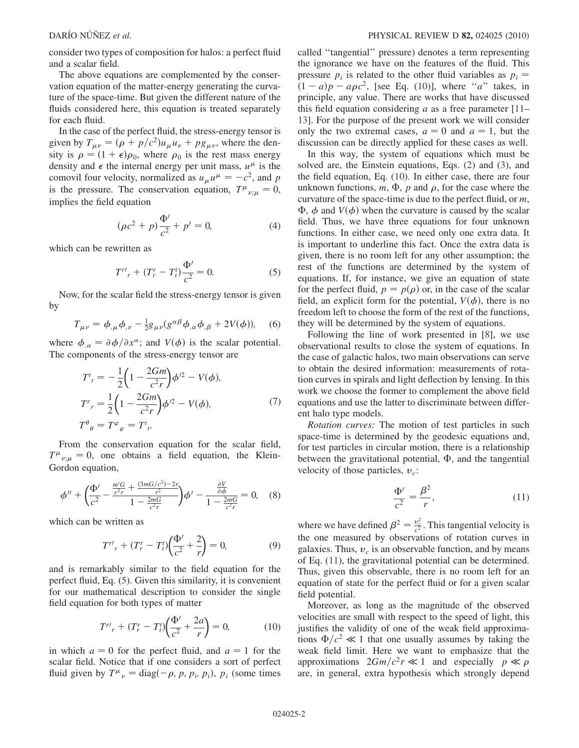consider two types of composition for halos: a perfect fluid and a scalar field.

The above equations are complemented by the conservation equation of the matter-energy generating the curvature of the space-time. But given the different nature of the fluids considered here, this equation is treated separately for each fluid.

In the case of the perfect fluid, the stress-energy tensor is given by  $T_{\mu\nu} = (\rho + p/c^2)u_{\mu}u_{\nu} + pg_{\mu\nu}$ , where the density is  $\rho = (1 + \epsilon)\rho_0$ , where  $\rho_0$  is the rest mass energy density and  $\epsilon$  the internal energy per unit mass,  $u^{\mu}$  is the comovil four velocity, normalized as  $u_{\mu}u^{\mu} = -c^2$ , and p is the pressure. The conservation equation,  $T^{\mu}{}_{\nu;\mu} = 0$ , implies the field equation

$$
(\rho c^2 + p)\frac{\Phi'}{c^2} + p' = 0,\t\t(4)
$$

<span id="page-1-3"></span><span id="page-1-0"></span>which can be rewritten as

$$
T^{r'}_{r} + (T_r^r - T_l^t) \frac{\Phi'}{c^2} = 0.
$$
 (5)

Now, for the scalar field the stress-energy tensor is given by

$$
T_{\mu\nu} = \phi_{,\mu}\phi_{,\nu} - \frac{1}{2}g_{\mu\nu}(g^{\alpha\beta}\phi_{,\alpha}\phi_{,\beta} + 2V(\phi)), \quad (6)
$$

<span id="page-1-4"></span>where  $\phi_{,\alpha} = \partial \phi / \partial x^{\alpha}$ ; and  $V(\phi)$  is the scalar potential. The components of the stress-energy tensor are

$$
T^{t}_{t} = -\frac{1}{2} \left( 1 - \frac{2Gm}{c^{2}r} \right) \phi^{2} - V(\phi),
$$
  
\n
$$
T^{r}_{r} = \frac{1}{2} \left( 1 - \frac{2Gm}{c^{2}r} \right) \phi^{2} - V(\phi),
$$
  
\n
$$
T^{\theta}_{\theta} = T^{\varphi}_{\varphi} = T^{t}_{t}.
$$
\n(7)

From the conservation equation for the scalar field,  $T^{\mu}{}_{\nu;\mu} = 0$ , one obtains a field equation, the Klein-Gordon equation,

$$
\phi'' + \left(\frac{\Phi'}{c^2} - \frac{\frac{m'G}{c^2r} + \frac{(3mG/c^2) - 2r}{r^2}}{1 - \frac{2mG}{c^2r}}\right)\phi' - \frac{\frac{\partial V}{\partial \phi}}{1 - \frac{2mG}{c^2r}} = 0, \quad (8)
$$

which can be written as

$$
T^{r'}_{r} + (T_r^r - T_l^t) \left(\frac{\Phi'}{c^2} + \frac{2}{r}\right) = 0,
$$
\n(9)

<span id="page-1-1"></span>and is remarkably similar to the field equation for the perfect fluid, Eq. ([5\)](#page-1-0). Given this similarity, it is convenient for our mathematical description to consider the single field equation for both types of matter

$$
T^{r'}_{r} + (T_r^r - T_t^t) \left(\frac{\Phi'}{c^2} + \frac{2a}{r}\right) = 0,
$$
 (10)

in which  $a = 0$  for the perfect fluid, and  $a = 1$  for the scalar field. Notice that if one considers a sort of perfect fluid given by  $T^{\mu}{}_{\nu} = \text{diag}(-\rho, p, p_i, p_i)$ ,  $p_i$  (some times called ''tangential'' pressure) denotes a term representing the ignorance we have on the features of the fluid. This pressure  $p_i$  is related to the other fluid variables as  $p_i =$  $(1 - a)p - a\rho c^2$ , [see Eq. ([10](#page-1-1))], where "a" takes, in principle, any value. There are works that have discussed this field equation considering  $a$  as a free parameter  $[11]$ [13](#page-5-5)]. For the purpose of the present work we will consider only the two extremal cases,  $a = 0$  and  $a = 1$ , but the discussion can be directly applied for these cases as well.

In this way, the system of equations which must be solved are, the Einstein equations, Eqs. ([2](#page-0-4)) and ([3\)](#page-0-5), and the field equation, Eq. [\(10\)](#page-1-1). In either case, there are four unknown functions,  $m$ ,  $\Phi$ ,  $p$  and  $\rho$ , for the case where the curvature of the space-time is due to the perfect fluid, or  $m$ ,  $\Phi$ ,  $\phi$  and  $V(\phi)$  when the curvature is caused by the scalar field. Thus, we have three equations for four unknown functions. In either case, we need only one extra data. It is important to underline this fact. Once the extra data is given, there is no room left for any other assumption; the rest of the functions are determined by the system of equations. If, for instance, we give an equation of state for the perfect fluid,  $p = p(\rho)$  or, in the case of the scalar field, an explicit form for the potential,  $V(\phi)$ , there is no freedom left to choose the form of the rest of the functions, they will be determined by the system of equations.

Following the line of work presented in [[8](#page-5-14)], we use observational results to close the system of equations. In the case of galactic halos, two main observations can serve to obtain the desired information: measurements of rotation curves in spirals and light deflection by lensing. In this work we choose the former to complement the above field equations and use the latter to discriminate between different halo type models.

Rotation curves: The motion of test particles in such space-time is determined by the geodesic equations and, for test particles in circular motion, there is a relationship between the gravitational potential,  $\Phi$ , and the tangential velocity of those particles,  $v_c$ :

$$
\frac{\Phi'}{c^2} = \frac{\beta^2}{r},\tag{11}
$$

<span id="page-1-2"></span>where we have defined  $\beta^2 = \frac{v_c^2}{c^2}$ . This tangential velocity is the one measured by observations of rotation curves in galaxies. Thus,  $v_c$  is an observable function, and by means of Eq. ([11](#page-1-2)), the gravitational potential can be determined. Thus, given this observable, there is no room left for an equation of state for the perfect fluid or for a given scalar field potential.

Moreover, as long as the magnitude of the observed velocities are small with respect to the speed of light, this justifies the validity of one of the weak field approximations  $\Phi/c^2 \ll 1$  that one usually assumes by taking the weak field limit. Here we want to emphasize that the approximations  $2Gm/c^2r \ll 1$  and especially  $p \ll \rho$ are, in general, extra hypothesis which strongly depend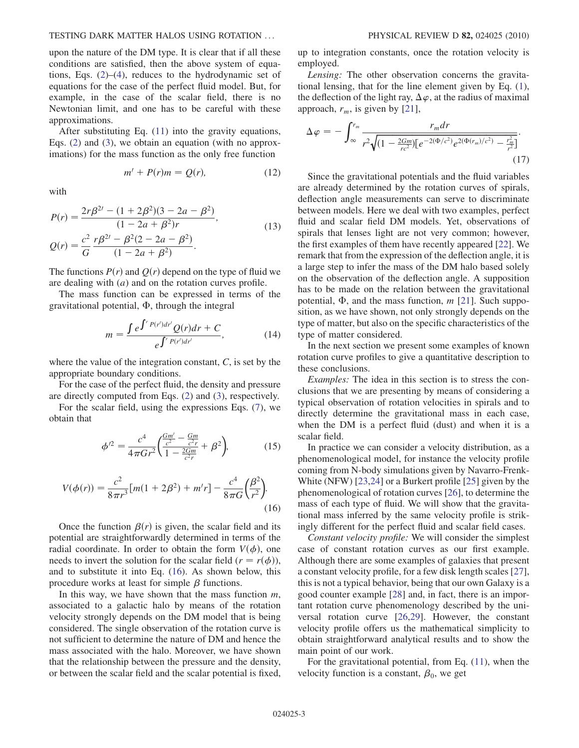## TESTING DARK MATTER HALOS USING ROTATION ... PHYSICAL REVIEW D 82, 024025 (2010)

upon the nature of the DM type. It is clear that if all these conditions are satisfied, then the above system of equations, Eqs. [\(2](#page-0-4))–([4\)](#page-1-3), reduces to the hydrodynamic set of equations for the case of the perfect fluid model. But, for example, in the case of the scalar field, there is no Newtonian limit, and one has to be careful with these approximations.

After substituting Eq. [\(11\)](#page-1-2) into the gravity equations, Eqs. [\(2](#page-0-4)) and ([3\)](#page-0-5), we obtain an equation (with no approximations) for the mass function as the only free function

$$
m' + P(r)m = Q(r), \qquad (12)
$$

with

$$
P(r) = \frac{2r\beta^{2l} - (1 + 2\beta^2)(3 - 2a - \beta^2)}{(1 - 2a + \beta^2)r},
$$
  
\n
$$
Q(r) = \frac{c^2}{G} \frac{r\beta^{2l} - \beta^2(2 - 2a - \beta^2)}{(1 - 2a + \beta^2)}.
$$
\n(13)

The functions  $P(r)$  and  $Q(r)$  depend on the type of fluid we are dealing with  $(a)$  and on the rotation curves profile.

<span id="page-2-1"></span>The mass function can be expressed in terms of the gravitational potential,  $\Phi$ , through the integral

$$
m = \frac{\int e^{\int^r P(r') dr'} Q(r) dr + C}{e^{\int^r P(r') dr'}},
$$
\n(14)

where the value of the integration constant,  $C$ , is set by the appropriate boundary conditions.

For the case of the perfect fluid, the density and pressure are directly computed from Eqs. ([2\)](#page-0-4) and [\(3](#page-0-5)), respectively.

<span id="page-2-0"></span>For the scalar field, using the expressions Eqs. ([7](#page-1-4)), we obtain that

$$
\phi'^2 = \frac{c^4}{4\pi G r^2} \left( \frac{\frac{Gm'}{c^2} - \frac{Gm}{c^2 r}}{1 - \frac{2Gm}{c^2 r}} + \beta^2 \right),\tag{15}
$$

$$
V(\phi(r)) = \frac{c^2}{8\pi r^3} [m(1+2\beta^2) + m'r] - \frac{c^4}{8\pi G} \left(\frac{\beta^2}{r^2}\right).
$$
\n(16)

Once the function  $\beta(r)$  is given, the scalar field and its potential are straightforwardly determined in terms of the radial coordinate. In order to obtain the form  $V(\phi)$ , one needs to invert the solution for the scalar field  $(r = r(\phi))$ , and to substitute it into Eq. ([16](#page-2-0)). As shown below, this procedure works at least for simple  $\beta$  functions.

In this way, we have shown that the mass function  $m$ , associated to a galactic halo by means of the rotation velocity strongly depends on the DM model that is being considered. The single observation of the rotation curve is not sufficient to determine the nature of DM and hence the mass associated with the halo. Moreover, we have shown that the relationship between the pressure and the density, or between the scalar field and the scalar potential is fixed, up to integration constants, once the rotation velocity is employed.

Lensing: The other observation concerns the gravitational lensing, that for the line element given by Eq. ([1\)](#page-0-6), the deflection of the light ray,  $\Delta \varphi$ , at the radius of maximal approach,  $r_m$ , is given by [\[21\]](#page-5-15),

<span id="page-2-2"></span>
$$
\Delta \varphi = -\int_{\infty}^{r_m} \frac{r_m dr}{r^2 \sqrt{(1 - \frac{2Gm}{rc^2}) \left[e^{-2(\Phi/c^2)} e^{2(\Phi(r_m)/c^2)} - \frac{r_m^2}{r^2}\right]}}.
$$
\n(17)

Since the gravitational potentials and the fluid variables are already determined by the rotation curves of spirals, deflection angle measurements can serve to discriminate between models. Here we deal with two examples, perfect fluid and scalar field DM models. Yet, observations of spirals that lenses light are not very common; however, the first examples of them have recently appeared [\[22\]](#page-5-16). We remark that from the expression of the deflection angle, it is a large step to infer the mass of the DM halo based solely on the observation of the deflection angle. A supposition has to be made on the relation between the gravitational potential,  $\Phi$ , and the mass function, m [\[21\]](#page-5-15). Such supposition, as we have shown, not only strongly depends on the type of matter, but also on the specific characteristics of the type of matter considered.

In the next section we present some examples of known rotation curve profiles to give a quantitative description to these conclusions.

Examples: The idea in this section is to stress the conclusions that we are presenting by means of considering a typical observation of rotation velocities in spirals and to directly determine the gravitational mass in each case, when the DM is a perfect fluid (dust) and when it is a scalar field.

In practice we can consider a velocity distribution, as a phenomenological model, for instance the velocity profile coming from N-body simulations given by Navarro-Frenk-White (NFW) [[23](#page-5-17),[24](#page-5-18)] or a Burkert profile [\[25\]](#page-5-19) given by the phenomenological of rotation curves [[26](#page-5-20)], to determine the mass of each type of fluid. We will show that the gravitational mass inferred by the same velocity profile is strikingly different for the perfect fluid and scalar field cases.

Constant velocity profile: We will consider the simplest case of constant rotation curves as our first example. Although there are some examples of galaxies that present a constant velocity profile, for a few disk length scales [[27\]](#page-5-21), this is not a typical behavior, being that our own Galaxy is a good counter example [\[28\]](#page-5-22) and, in fact, there is an important rotation curve phenomenology described by the universal rotation curve [[26](#page-5-20),[29](#page-5-23)]. However, the constant velocity profile offers us the mathematical simplicity to obtain straightforward analytical results and to show the main point of our work.

For the gravitational potential, from Eq. ([11](#page-1-2)), when the velocity function is a constant,  $\beta_0$ , we get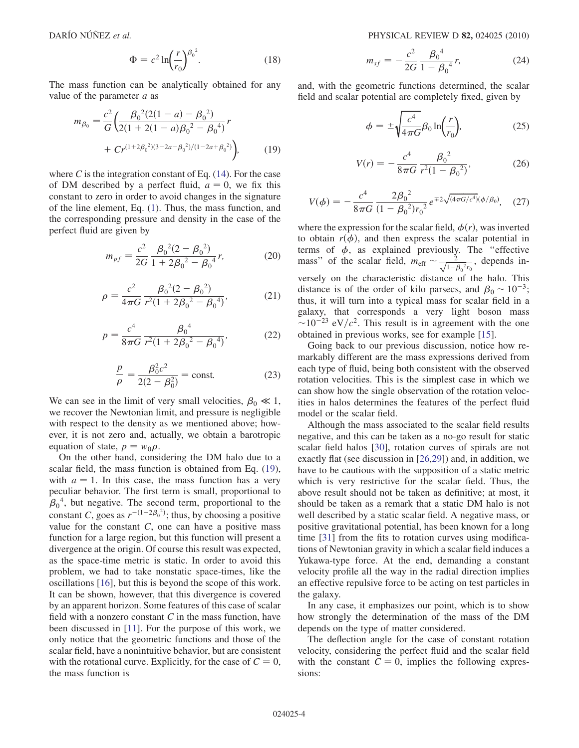$$
\Phi = c^2 \ln \left( \frac{r}{r_0} \right)^{\beta_0^2}.
$$
\n(18)

<span id="page-3-0"></span>The mass function can be analytically obtained for any value of the parameter  $a$  as

$$
m_{\beta_0} = \frac{c^2}{G} \left( \frac{\beta_0^2 (2(1-a) - \beta_0^2)}{2(1 + 2(1-a)\beta_0^2 - \beta_0^4)} r + Cr^{(1+2\beta_0^2)(3-2a-\beta_0^2)/(1-2a+\beta_0^2)} \right),
$$
(19)

where C is the integration constant of Eq.  $(14)$  $(14)$  $(14)$ . For the case of DM described by a perfect fluid,  $a = 0$ , we fix this constant to zero in order to avoid changes in the signature of the line element, Eq. [\(1\)](#page-0-6). Thus, the mass function, and the corresponding pressure and density in the case of the perfect fluid are given by

$$
m_{pf} = \frac{c^2}{2G} \frac{\beta_0^2 (2 - \beta_0^2)}{1 + 2\beta_0^2 - \beta_0^4} r,
$$
 (20)

$$
\rho = \frac{c^2}{4\pi G} \frac{\beta_0^2 (2 - \beta_0^2)}{r^2 (1 + 2\beta_0^2 - \beta_0^4)},\tag{21}
$$

$$
p = \frac{c^4}{8\pi G} \frac{\beta_0^4}{r^2 (1 + 2\beta_0^2 - \beta_0^4)},
$$
(22)

$$
\frac{p}{\rho} = \frac{\beta_0^2 c^2}{2(2 - \beta_0^2)} = \text{const.}
$$
 (23)

We can see in the limit of very small velocities,  $\beta_0 \ll 1$ , we recover the Newtonian limit, and pressure is negligible with respect to the density as we mentioned above; however, it is not zero and, actually, we obtain a barotropic equation of state,  $p = w_0 \rho$ .

On the other hand, considering the DM halo due to a scalar field, the mass function is obtained from Eq. [\(19\)](#page-3-0), with  $a = 1$ . In this case, the mass function has a very peculiar behavior. The first term is small, proportional to  $\beta_0^4$ , but negative. The second term, proportional to the constant C, goes as  $r^{-(1+2\beta_0^2)}$ ; thus, by choosing a positive value for the constant  $C$ , one can have a positive mass function for a large region, but this function will present a divergence at the origin. Of course this result was expected, as the space-time metric is static. In order to avoid this problem, we had to take nonstatic space-times, like the oscillations [[16](#page-5-8)], but this is beyond the scope of this work. It can be shown, however, that this divergence is covered by an apparent horizon. Some features of this case of scalar field with a nonzero constant  $C$  in the mass function, have been discussed in [\[11\]](#page-5-13). For the purpose of this work, we only notice that the geometric functions and those of the scalar field, have a nonintuitive behavior, but are consistent with the rotational curve. Explicitly, for the case of  $C = 0$ , the mass function is

$$
m_{sf} = -\frac{c^2}{2G} \frac{\beta_0^4}{1 - \beta_0^4} r,\tag{24}
$$

and, with the geometric functions determined, the scalar field and scalar potential are completely fixed, given by

$$
\phi = \pm \sqrt{\frac{c^4}{4\pi G}} \beta_0 \ln \left( \frac{r}{r_0} \right),\tag{25}
$$

$$
V(r) = -\frac{c^4}{8\pi G} \frac{\beta_0^2}{r^2 (1 - \beta_0^2)},
$$
 (26)

$$
V(\phi) = -\frac{c^4}{8\pi G} \frac{2\beta_0^2}{(1 - \beta_0^2)r_0^2} e^{\mp 2\sqrt{(4\pi G/c^4)}(\phi/\beta_0)},
$$
 (27)

where the expression for the scalar field,  $\phi(r)$ , was inverted to obtain  $r(\phi)$ , and then express the scalar potential in terms of  $\phi$ , as explained previously. The "effective" mass" of the scalar field,  $m_{\text{eff}} \sim \frac{2}{\sqrt{1-\beta_0^2 r_0}}$ , depends inversely on the characteristic distance of the halo. This distance is of the order of kilo parsecs, and  $\beta_0 \sim 10^{-3}$ ; thus, it will turn into a typical mass for scalar field in a galaxy, that corresponds a very light boson mass  $\sim$ 10<sup>-23</sup> eV/ $c^2$ . This result is in agreement with the one obtained in previous works, see for example [[15](#page-5-7)].

Going back to our previous discussion, notice how remarkably different are the mass expressions derived from each type of fluid, being both consistent with the observed rotation velocities. This is the simplest case in which we can show how the single observation of the rotation velocities in halos determines the features of the perfect fluid model or the scalar field.

Although the mass associated to the scalar field results negative, and this can be taken as a no-go result for static scalar field halos [\[30\]](#page-5-24), rotation curves of spirals are not exactly flat (see discussion in [[26](#page-5-20),[29](#page-5-23)]) and, in addition, we have to be cautious with the supposition of a static metric which is very restrictive for the scalar field. Thus, the above result should not be taken as definitive; at most, it should be taken as a remark that a static DM halo is not well described by a static scalar field. A negative mass, or positive gravitational potential, has been known for a long time [[31](#page-5-25)] from the fits to rotation curves using modifications of Newtonian gravity in which a scalar field induces a Yukawa-type force. At the end, demanding a constant velocity profile all the way in the radial direction implies an effective repulsive force to be acting on test particles in the galaxy.

In any case, it emphasizes our point, which is to show how strongly the determination of the mass of the DM depends on the type of matter considered.

The deflection angle for the case of constant rotation velocity, considering the perfect fluid and the scalar field with the constant  $C = 0$ , implies the following expressions: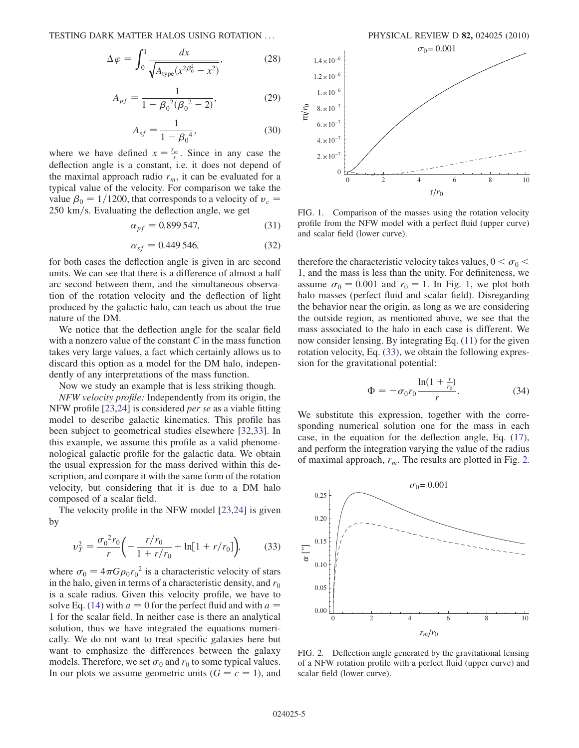$$
\Delta \varphi = \int_0^1 \frac{dx}{\sqrt{A_{\text{type}}(x^2 \beta_0^2 - x^2)}},\tag{28}
$$

$$
A_{pf} = \frac{1}{1 - \beta_0^2 (\beta_0^2 - 2)},
$$
\n(29)

$$
A_{sf} = \frac{1}{1 - \beta_0^4},\tag{30}
$$

where we have defined  $x = \frac{r_m}{r}$ . Since in any case the deflection angle is a constant, i.e. it does not depend of the maximal approach radio  $r_m$ , it can be evaluated for a typical value of the velocity. For comparison we take the value  $\beta_0 = 1/1200$ , that corresponds to a velocity of  $v_c$  =  $250 \text{ km/s}$ . Evaluating the deflection angle, we get

$$
\alpha_{pf} = 0.899547, \tag{31}
$$

$$
\alpha_{sf} = 0.449\,546,\tag{32}
$$

for both cases the deflection angle is given in arc second units. We can see that there is a difference of almost a half arc second between them, and the simultaneous observation of the rotation velocity and the deflection of light produced by the galactic halo, can teach us about the true nature of the DM.

We notice that the deflection angle for the scalar field with a nonzero value of the constant  $C$  in the mass function takes very large values, a fact which certainly allows us to discard this option as a model for the DM halo, independently of any interpretations of the mass function.

Now we study an example that is less striking though.

NFW velocity profile: Independently from its origin, the NFW profile [[23](#page-5-17)[,24](#page-5-18)] is considered per se as a viable fitting model to describe galactic kinematics. This profile has been subject to geometrical studies elsewhere [\[32,](#page-5-26)[33\]](#page-5-27). In this example, we assume this profile as a valid phenomenological galactic profile for the galactic data. We obtain the usual expression for the mass derived within this description, and compare it with the same form of the rotation velocity, but considering that it is due to a DM halo composed of a scalar field.

<span id="page-4-1"></span>The velocity profile in the NFW model [\[23,](#page-5-17)[24\]](#page-5-18) is given by

$$
v_T^2 = \frac{\sigma_0^2 r_0}{r} \left( -\frac{r/r_0}{1 + r/r_0} + \ln[1 + r/r_0] \right),\tag{33}
$$

where  $\sigma_0 = 4\pi G \rho_0 r_0^2$  is a characteristic velocity of stars in the halo, given in terms of a characteristic density, and  $r_0$ is a scale radius. Given this velocity profile, we have to solve Eq. ([14](#page-2-1)) with  $a = 0$  for the perfect fluid and with  $a =$ 1 for the scalar field. In neither case is there an analytical solution, thus we have integrated the equations numerically. We do not want to treat specific galaxies here but want to emphasize the differences between the galaxy models. Therefore, we set  $\sigma_0$  and  $r_0$  to some typical values. In our plots we assume geometric units  $(G = c = 1)$ , and



<span id="page-4-0"></span>FIG. 1. Comparison of the masses using the rotation velocity profile from the NFW model with a perfect fluid (upper curve) and scalar field (lower curve).

therefore the characteristic velocity takes values,  $0 < \sigma_0 <$ 1, and the mass is less than the unity. For definiteness, we assume  $\sigma_0 = 0.001$  and  $r_0 = 1$ . In Fig. [1,](#page-4-0) we plot both halo masses (perfect fluid and scalar field). Disregarding the behavior near the origin, as long as we are considering the outside region, as mentioned above, we see that the mass associated to the halo in each case is different. We now consider lensing. By integrating Eq. ([11](#page-1-2)) for the given rotation velocity, Eq. [\(33\)](#page-4-1), we obtain the following expression for the gravitational potential:

$$
\Phi = -\sigma_0 r_0 \frac{\ln(1 + \frac{r}{r_0})}{r}.\tag{34}
$$

We substitute this expression, together with the corresponding numerical solution one for the mass in each case, in the equation for the deflection angle, Eq. ([17\)](#page-2-2), and perform the integration varying the value of the radius of maximal approach,  $r_m$ . The results are plotted in Fig. [2.](#page-4-2)

<span id="page-4-2"></span>

FIG. 2. Deflection angle generated by the gravitational lensing of a NFW rotation profile with a perfect fluid (upper curve) and scalar field (lower curve).